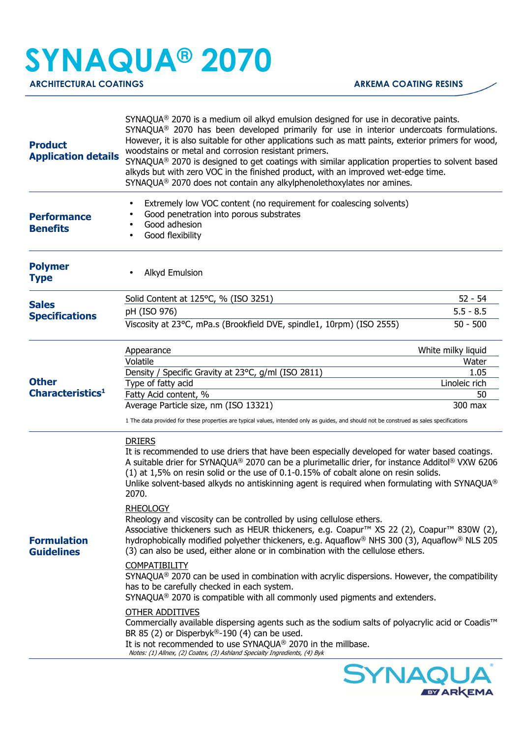## **SYNAQUA® 2070**

ARCHITECTURAL COATINGS **ARKEMA COATING RESINS** 

**EY ARKEMA** 

| <b>Product</b><br><b>Application details</b> | SYNAQUA® 2070 is a medium oil alkyd emulsion designed for use in decorative paints.<br>SYNAQUA® 2070 has been developed primarily for use in interior undercoats formulations.<br>However, it is also suitable for other applications such as matt paints, exterior primers for wood,<br>woodstains or metal and corrosion resistant primers.<br>SYNAQUA® 2070 is designed to get coatings with similar application properties to solvent based<br>alkyds but with zero VOC in the finished product, with an improved wet-edge time.<br>SYNAQUA® 2070 does not contain any alkylphenolethoxylates nor amines.        |                    |
|----------------------------------------------|----------------------------------------------------------------------------------------------------------------------------------------------------------------------------------------------------------------------------------------------------------------------------------------------------------------------------------------------------------------------------------------------------------------------------------------------------------------------------------------------------------------------------------------------------------------------------------------------------------------------|--------------------|
| <b>Performance</b><br><b>Benefits</b>        | Extremely low VOC content (no requirement for coalescing solvents)<br>Good penetration into porous substrates<br>Good adhesion<br>Good flexibility                                                                                                                                                                                                                                                                                                                                                                                                                                                                   |                    |
| <b>Polymer</b><br><b>Type</b>                | Alkyd Emulsion                                                                                                                                                                                                                                                                                                                                                                                                                                                                                                                                                                                                       |                    |
|                                              | Solid Content at 125°C, % (ISO 3251)                                                                                                                                                                                                                                                                                                                                                                                                                                                                                                                                                                                 | $52 - 54$          |
| <b>Sales</b><br><b>Specifications</b>        | pH (ISO 976)                                                                                                                                                                                                                                                                                                                                                                                                                                                                                                                                                                                                         | $5.5 - 8.5$        |
|                                              | Viscosity at 23°C, mPa.s (Brookfield DVE, spindle1, 10rpm) (ISO 2555)                                                                                                                                                                                                                                                                                                                                                                                                                                                                                                                                                | $50 - 500$         |
|                                              | Appearance                                                                                                                                                                                                                                                                                                                                                                                                                                                                                                                                                                                                           | White milky liquid |
|                                              | Volatile                                                                                                                                                                                                                                                                                                                                                                                                                                                                                                                                                                                                             | Water              |
| <b>Other</b>                                 | Density / Specific Gravity at 23°C, g/ml (ISO 2811)                                                                                                                                                                                                                                                                                                                                                                                                                                                                                                                                                                  | 1.05               |
| Characteristics <sup>1</sup>                 | Type of fatty acid                                                                                                                                                                                                                                                                                                                                                                                                                                                                                                                                                                                                   | Linoleic rich      |
| <b>Formulation</b><br><b>Guidelines</b>      | Fatty Acid content, %<br>Average Particle size, nm (ISO 13321)                                                                                                                                                                                                                                                                                                                                                                                                                                                                                                                                                       | 50<br>300 max      |
|                                              | 1 The data provided for these properties are typical values, intended only as guides, and should not be construed as sales specifications                                                                                                                                                                                                                                                                                                                                                                                                                                                                            |                    |
|                                              | <b>DRIERS</b><br>It is recommended to use driers that have been especially developed for water based coatings.<br>A suitable drier for SYNAQUA® 2070 can be a plurimetallic drier, for instance Additol® VXW 6206<br>(1) at 1,5% on resin solid or the use of 0.1-0.15% of cobalt alone on resin solids.<br>Unlike solvent-based alkyds no antiskinning agent is required when formulating with SYNAQUA <sup>®</sup><br>2070.<br><b>RHEOLOGY</b><br>Rheology and viscosity can be controlled by using cellulose ethers.<br>Associative thickeners such as HEUR thickeners, e.g. Coapur™ XS 22 (2), Coapur™ 830W (2), |                    |
|                                              | hydrophobically modified polyether thickeners, e.g. Aquaflow® NHS 300 (3), Aquaflow® NLS 205<br>(3) can also be used, either alone or in combination with the cellulose ethers.                                                                                                                                                                                                                                                                                                                                                                                                                                      |                    |
|                                              | <b>COMPATIBILITY</b><br>$SYNAQUA®$ 2070 can be used in combination with acrylic dispersions. However, the compatibility<br>has to be carefully checked in each system.<br>SYNAQUA® 2070 is compatible with all commonly used pigments and extenders.                                                                                                                                                                                                                                                                                                                                                                 |                    |
|                                              | <b>OTHER ADDITIVES</b><br>Commercially available dispersing agents such as the sodium salts of polyacrylic acid or Coadis™<br>BR 85 (2) or Disperbyk®-190 (4) can be used.<br>It is not recommended to use SYNAQUA® 2070 in the millbase.<br>Notes: (1) Allnex, (2) Coatex, (3) Ashland Specialty Ingredients, (4) Byk                                                                                                                                                                                                                                                                                               |                    |
|                                              |                                                                                                                                                                                                                                                                                                                                                                                                                                                                                                                                                                                                                      | <b>SYNAQUA®</b>    |